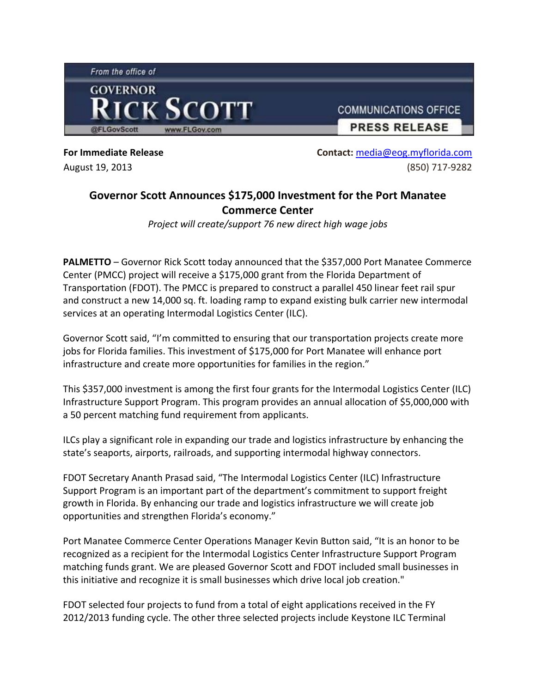

**For Immediate Release**  August 19, 2013

**Contact:** media@eog.myflorida.com (850) 717‐9282

## **Governor Scott Announces \$175,000 Investment for the Port Manatee Commerce Center**

*Project will create/support 76 new direct high wage jobs*

**PALMETTO** – Governor Rick Scott today announced that the \$357,000 Port Manatee Commerce Center (PMCC) project will receive a \$175,000 grant from the Florida Department of Transportation (FDOT). The PMCC is prepared to construct a parallel 450 linear feet rail spur and construct a new 14,000 sq. ft. loading ramp to expand existing bulk carrier new intermodal services at an operating Intermodal Logistics Center (ILC).

Governor Scott said, "I'm committed to ensuring that our transportation projects create more jobs for Florida families. This investment of \$175,000 for Port Manatee will enhance port infrastructure and create more opportunities for families in the region."

This \$357,000 investment is among the first four grants for the Intermodal Logistics Center (ILC) Infrastructure Support Program. This program provides an annual allocation of \$5,000,000 with a 50 percent matching fund requirement from applicants.

ILCs play a significant role in expanding our trade and logistics infrastructure by enhancing the state's seaports, airports, railroads, and supporting intermodal highway connectors.

FDOT Secretary Ananth Prasad said, "The Intermodal Logistics Center (ILC) Infrastructure Support Program is an important part of the department's commitment to support freight growth in Florida. By enhancing our trade and logistics infrastructure we will create job opportunities and strengthen Florida's economy."

Port Manatee Commerce Center Operations Manager Kevin Button said, "It is an honor to be recognized as a recipient for the Intermodal Logistics Center Infrastructure Support Program matching funds grant. We are pleased Governor Scott and FDOT included small businesses in this initiative and recognize it is small businesses which drive local job creation."

FDOT selected four projects to fund from a total of eight applications received in the FY 2012/2013 funding cycle. The other three selected projects include Keystone ILC Terminal